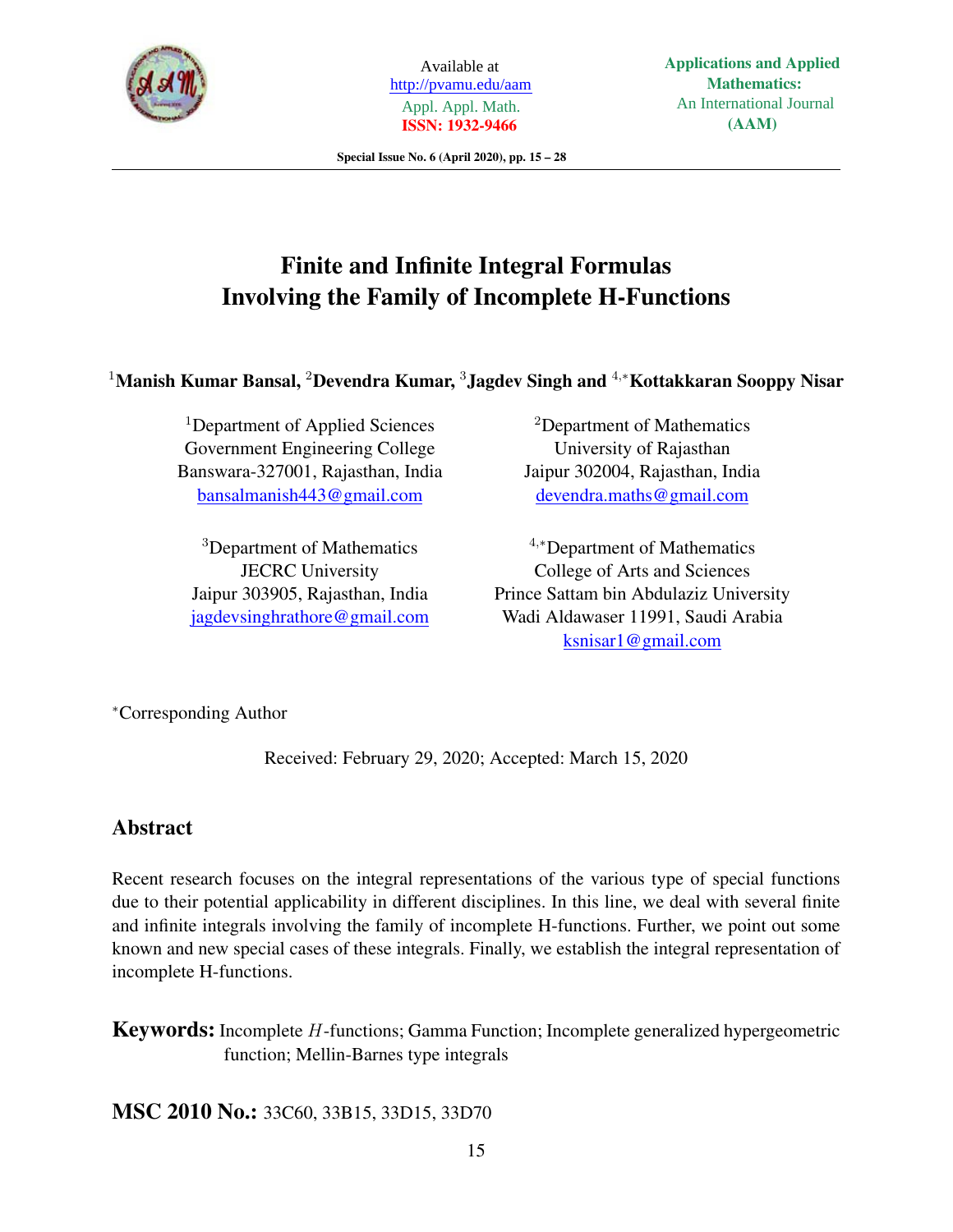

Available at http://pvamu.edu/aam Appl. Appl. Math. **ISSN: 1932-9466**

**Applications and Applied Mathematics:** An International Journal **(AAM)**

Special Issue No. 6 (April 2020), pp. 15 – 28

# Finite and Infinite Integral Formulas Involving the Family of Incomplete H-Functions

<sup>1</sup>Manish Kumar Bansal, <sup>2</sup>Devendra Kumar, <sup>3</sup>Jagdev Singh and <sup>4</sup>,<sup>∗</sup>Kottakkaran Sooppy Nisar

<sup>1</sup>Department of Applied Sciences Government Engineering College Banswara-327001, Rajasthan, India bansalmanish443@gmail.com

<sup>3</sup>Department of Mathematics JECRC University Jaipur 303905, Rajasthan, India jagdevsinghrathore@gmail.com

<sup>2</sup>Department of Mathematics University of Rajasthan Jaipur 302004, Rajasthan, India devendra.maths@gmail.com

<sup>4</sup>,<sup>∗</sup>Department of Mathematics College of Arts and Sciences Prince Sattam bin Abdulaziz University Wadi Aldawaser 11991, Saudi Arabia ksnisar1@gmail.com

<sup>∗</sup>Corresponding Author

Received: February 29, 2020; Accepted: March 15, 2020

# Abstract

Recent research focuses on the integral representations of the various type of special functions due to their potential applicability in different disciplines. In this line, we deal with several finite and infinite integrals involving the family of incomplete H-functions. Further, we point out some known and new special cases of these integrals. Finally, we establish the integral representation of incomplete H-functions.

Keywords: Incomplete H-functions; Gamma Function; Incomplete generalized hypergeometric function; Mellin-Barnes type integrals

MSC 2010 No.: 33C60, 33B15, 33D15, 33D70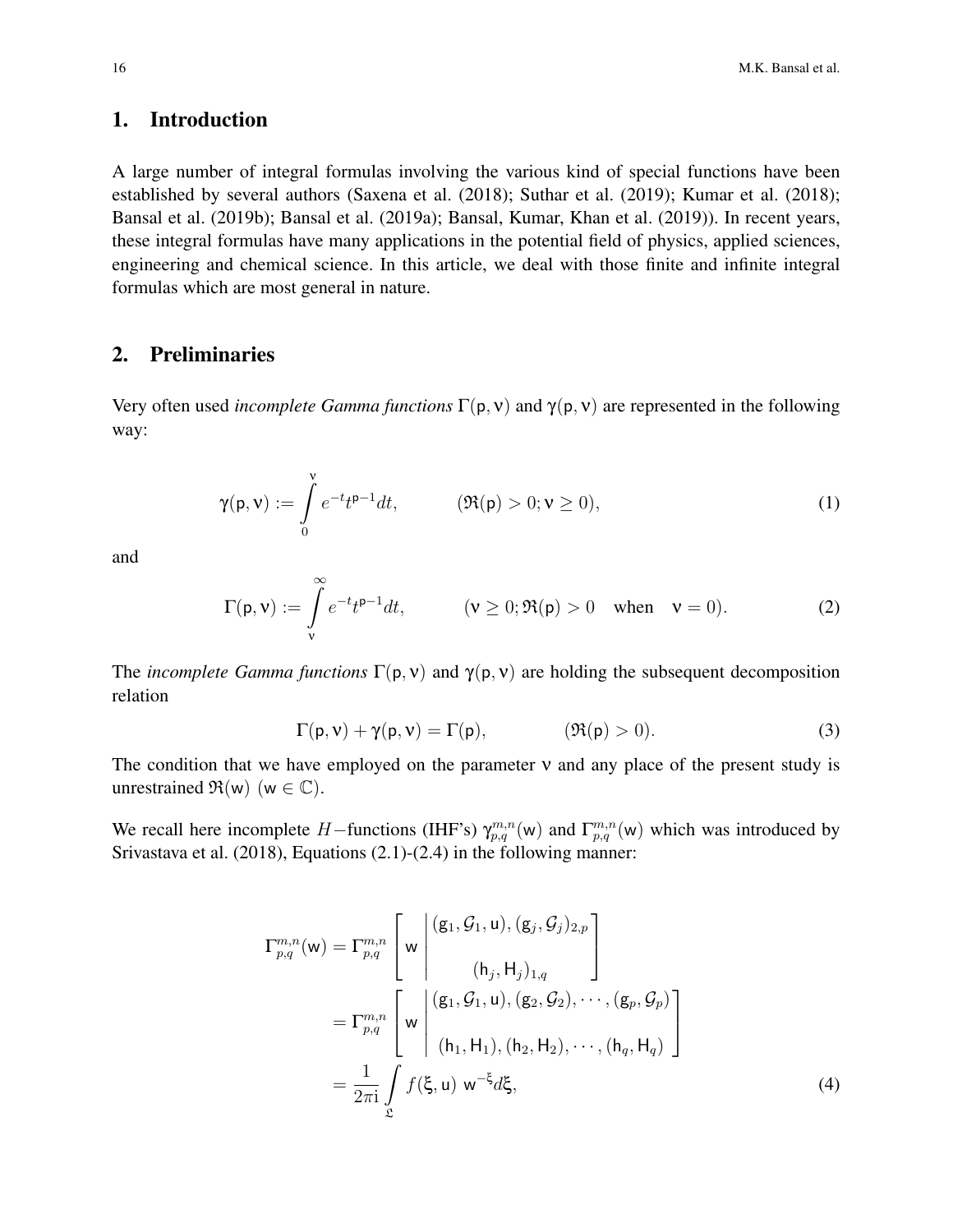### 1. Introduction

A large number of integral formulas involving the various kind of special functions have been established by several authors (Saxena et al. (2018); Suthar et al. (2019); Kumar et al. (2018); Bansal et al. (2019b); Bansal et al. (2019a); Bansal, Kumar, Khan et al. (2019)). In recent years, these integral formulas have many applications in the potential field of physics, applied sciences, engineering and chemical science. In this article, we deal with those finite and infinite integral formulas which are most general in nature.

### 2. Preliminaries

Very often used *incomplete Gamma functions* Γ(p, ν) and γ(p, ν) are represented in the following way:

$$
\gamma(\mathbf{p}, \mathbf{v}) := \int_{0}^{\mathbf{v}} e^{-t} t^{\mathbf{p}-1} dt, \qquad (\Re(\mathbf{p}) > 0; \mathbf{v} \ge 0), \qquad (1)
$$

and

$$
\Gamma(\mathbf{p}, \mathbf{v}) := \int_{\mathbf{v}}^{\infty} e^{-t} t^{\mathbf{p}-1} dt, \qquad (\mathbf{v} \ge 0; \Re(\mathbf{p}) > 0 \quad \text{when} \quad \mathbf{v} = 0).
$$
 (2)

The *incomplete Gamma functions*  $\Gamma(p, v)$  and  $\gamma(p, v)$  are holding the subsequent decomposition relation

$$
\Gamma(p, v) + \gamma(p, v) = \Gamma(p), \qquad (\Re(p) > 0). \tag{3}
$$

The condition that we have employed on the parameter  $v$  and any place of the present study is unrestrained  $\mathfrak{R}(w)$  (w  $\in \mathbb{C}$ ).

We recall here incomplete H–functions (IHF's)  $\gamma_{p,q}^{m,n}(w)$  and  $\Gamma_{p,q}^{m,n}(w)$  which was introduced by Srivastava et al. (2018), Equations (2.1)-(2.4) in the following manner:

$$
\Gamma_{p,q}^{m,n}(w) = \Gamma_{p,q}^{m,n} \left[ w \left\vert \begin{array}{c} (g_1, \mathcal{G}_1, u), (g_j, \mathcal{G}_j)_{2,p} \\ (h_j, H_j)_{1,q} \end{array} \right\vert
$$
\n
$$
= \Gamma_{p,q}^{m,n} \left[ w \left\vert \begin{array}{c} (g_1, \mathcal{G}_1, u), (g_2, \mathcal{G}_2), \cdots, (g_p, \mathcal{G}_p) \\ (h_1, H_1), (h_2, H_2), \cdots, (h_q, H_q) \end{array} \right\vert \right]
$$
\n
$$
= \frac{1}{2\pi i} \int_{\mathfrak{L}} f(\xi, u) w^{-\xi} d\xi,
$$
\n(4)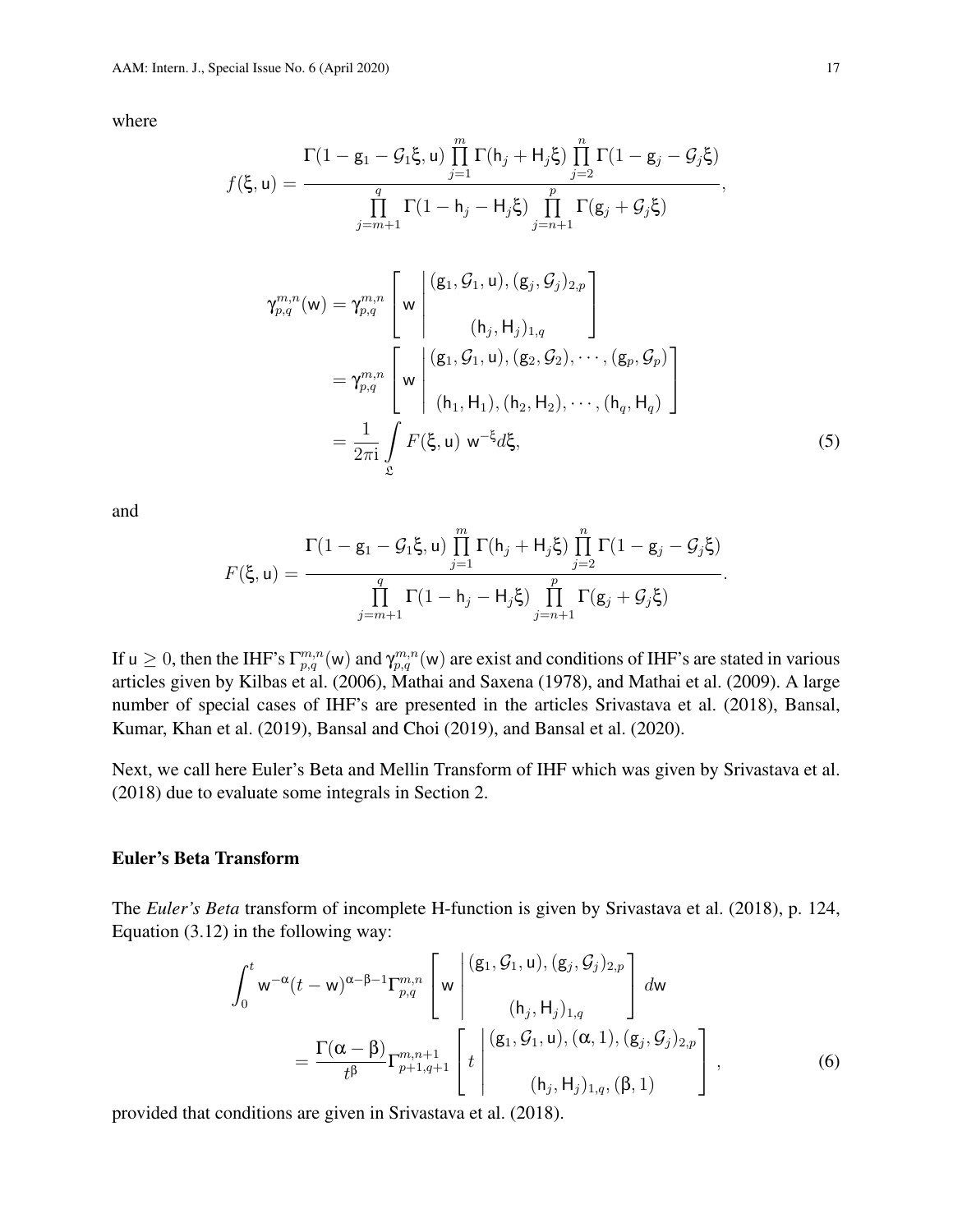where

$$
f(\xi, u) = \frac{\Gamma(1 - g_1 - G_1\xi, u) \prod_{j=1}^{m} \Gamma(h_j + H_j\xi) \prod_{j=2}^{n} \Gamma(1 - g_j - G_j\xi)}{\prod_{j=m+1}^{q} \Gamma(1 - h_j - H_j\xi) \prod_{j=n+1}^{p} \Gamma(g_j + G_j\xi)},
$$
  

$$
\gamma_{p,q}^{m,n}(w) = \gamma_{p,q}^{m,n} \left[ w \left| \begin{array}{c} (g_1, G_1, u), (g_j, G_j)_{2,p} \\ (h_j, H_j)_{1,q} \end{array} \right| \right]
$$
  

$$
= \gamma_{p,q}^{m,n} \left[ w \left| \begin{array}{c} (g_1, G_1, u), (g_2, G_2), \cdots, (g_p, G_p) \\ (h_1, H_1), (h_2, H_2), \cdots, (h_q, H_q) \end{array} \right|
$$
  

$$
= \frac{1}{2\pi i} \int_{\Sigma} F(\xi, u) w^{-\xi} d\xi,
$$
 (5)

and

$$
F(\xi, \mathbf{u}) = \frac{\Gamma(1-\mathbf{g}_1-\mathcal{G}_1\xi, \mathbf{u}) \prod_{j=1}^m \Gamma(h_j + H_j\xi) \prod_{j=2}^n \Gamma(1-\mathbf{g}_j - \mathcal{G}_j\xi)}{\prod_{j=m+1}^q \Gamma(1-h_j - H_j\xi) \prod_{j=n+1}^p \Gamma(\mathbf{g}_j + \mathcal{G}_j\xi)}.
$$

If  $u \geq 0$ , then the IHF's  $\Gamma_{p,q}^{m,n}(w)$  and  $\gamma_{p,q}^{m,n}(w)$  are exist and conditions of IHF's are stated in various articles given by Kilbas et al. (2006), Mathai and Saxena (1978), and Mathai et al. (2009). A large number of special cases of IHF's are presented in the articles Srivastava et al. (2018), Bansal, Kumar, Khan et al. (2019), Bansal and Choi (2019), and Bansal et al. (2020).

Next, we call here Euler's Beta and Mellin Transform of IHF which was given by Srivastava et al. (2018) due to evaluate some integrals in Section 2.

#### Euler's Beta Transform

The *Euler's Beta* transform of incomplete H-function is given by Srivastava et al. (2018), p. 124, Equation (3.12) in the following way:

$$
\int_{0}^{t} w^{-\alpha}(t-w)^{\alpha-\beta-1} \Gamma_{p,q}^{m,n} \left[ w \left( (g_{1}, \mathcal{G}_{1}, u), (g_{j}, \mathcal{G}_{j})_{2,p} \atop (h_{j}, H_{j})_{1,q} \right) dw \right] dw
$$
\n
$$
= \frac{\Gamma(\alpha-\beta)}{t^{\beta}} \Gamma_{p+1,q+1}^{m,n+1} \left[ t \left( (g_{1}, \mathcal{G}_{1}, u), (\alpha, 1), (g_{j}, \mathcal{G}_{j})_{2,p} \atop (h_{j}, H_{j})_{1,q}, (\beta, 1) \right) \right], \tag{6}
$$

provided that conditions are given in Srivastava et al. (2018).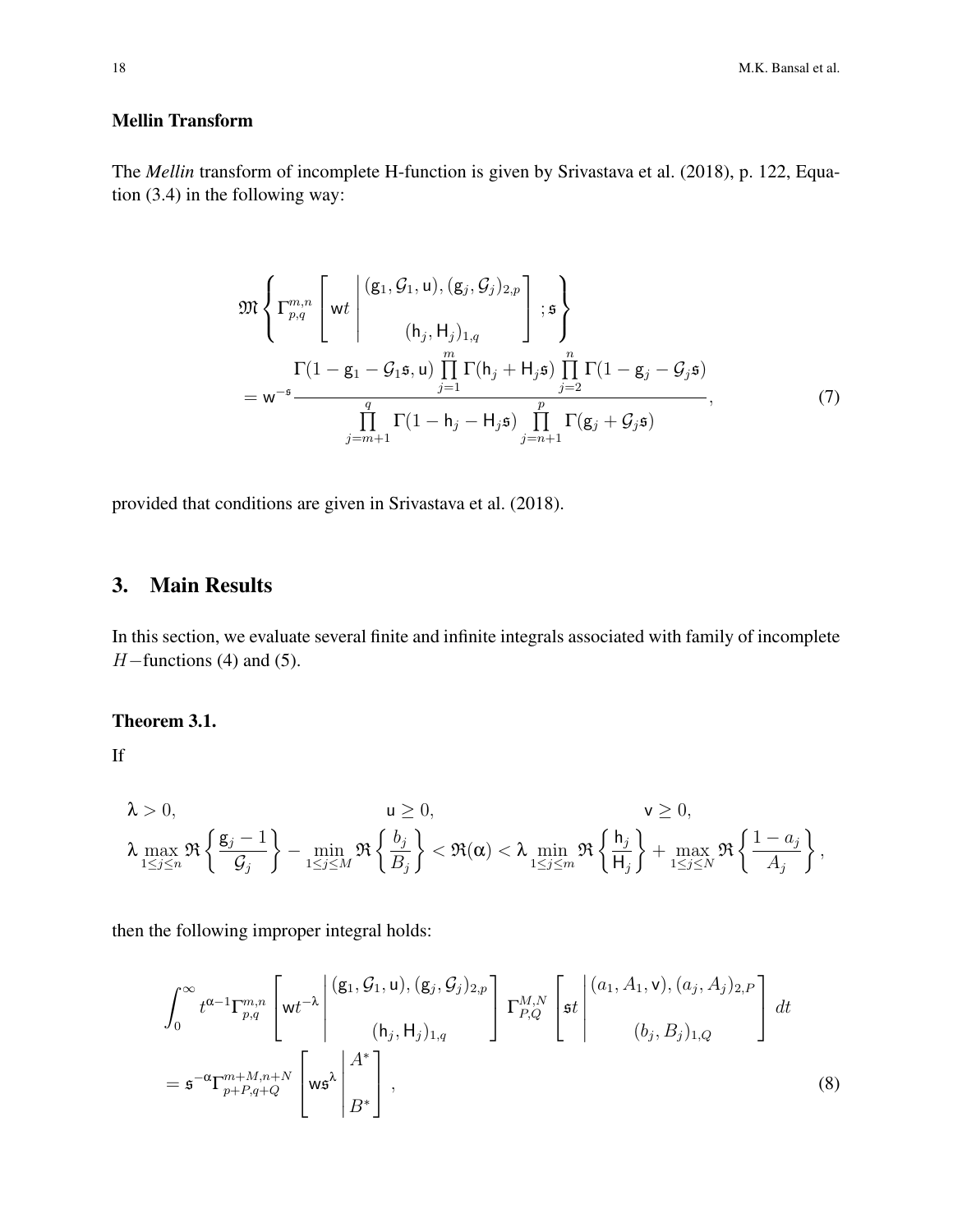18 M.K. Bansal et al.

### Mellin Transform

The *Mellin* transform of incomplete H-function is given by Srivastava et al. (2018), p. 122, Equation (3.4) in the following way:

$$
\mathfrak{M}\left\{\Gamma_{p,q}^{m,n}\left[\mathsf{wt}\left|\begin{array}{c}(\mathsf{g}_{1},\mathcal{G}_{1},\mathsf{u}),(\mathsf{g}_{j},\mathcal{G}_{j})_{2,p}\\(\mathsf{h}_{j},\mathsf{H}_{j})_{1,q}\end{array}\right|\right\};\mathfrak{s}\right\}
$$
\n
$$
=\mathsf{w}^{-\mathsf{s}}\frac{\Gamma(1-\mathsf{g}_{1}-\mathcal{G}_{1}\mathsf{s},\mathsf{u})\prod_{j=1}^{m}\Gamma(\mathsf{h}_{j}+\mathsf{H}_{j}\mathsf{s})\prod_{j=2}^{n}\Gamma(1-\mathsf{g}_{j}-\mathcal{G}_{j}\mathsf{s})}{\prod_{j=m+1}^{q}\Gamma(1-\mathsf{h}_{j}-\mathsf{H}_{j}\mathsf{s})\prod_{j=n+1}^{p}\Gamma(\mathsf{g}_{j}+\mathcal{G}_{j}\mathsf{s})},\tag{7}
$$

provided that conditions are given in Srivastava et al. (2018).

# 3. Main Results

In this section, we evaluate several finite and infinite integrals associated with family of incomplete  $H$ –functions (4) and (5).

#### Theorem 3.1.

If

$$
\lambda > 0, \qquad \qquad \mathsf{u} \geq 0, \qquad \qquad \mathsf{v} \geq 0, \qquad \qquad \mathsf{v} \geq 0, \qquad \qquad \mathsf{v} \geq 0, \qquad \qquad \mathsf{v} \geq 0, \qquad \qquad \mathsf{v} \geq 0, \qquad \qquad \mathsf{v} \geq 0, \qquad \qquad \mathsf{v} \geq 0, \qquad \qquad \mathsf{v} \geq 0, \qquad \qquad \mathsf{v} \geq 0, \qquad \qquad \mathsf{v} \geq 0, \qquad \qquad \mathsf{v} \geq 0, \qquad \qquad \mathsf{v} \geq 0, \qquad \qquad \mathsf{v} \geq 0, \qquad \qquad \mathsf{v} \geq 0, \qquad \qquad \mathsf{v} \geq 0, \qquad \qquad \mathsf{v} \geq 0, \qquad \qquad \mathsf{v} \geq 0, \qquad \qquad \mathsf{v} \geq 0, \qquad \qquad \mathsf{v} \geq 0, \qquad \qquad \mathsf{v} \geq 0, \qquad \qquad \mathsf{v} \geq 0, \qquad \qquad \mathsf{v} \geq 0, \qquad \qquad \mathsf{v} \geq 0, \qquad \qquad \mathsf{v} \geq 0, \qquad \qquad \mathsf{v} \geq 0, \qquad \qquad \mathsf{v} \geq 0, \qquad \qquad \mathsf{v} \geq 0, \qquad \qquad \mathsf{v} \geq 0, \qquad \qquad \mathsf{v} \geq 0, \qquad \qquad \mathsf{v} \geq 0, \qquad \qquad \mathsf{v} \geq 0, \qquad \qquad \mathsf{v} \geq 0, \qquad \qquad \mathsf{v} \geq 0, \qquad \qquad \mathsf{v} \geq 0, \qquad \qquad \mathsf{v} \geq 0, \qquad \qquad \mathsf{v} \geq 0, \qquad \qquad \mathsf{v} \geq 0, \qquad \qquad \mathsf{v} \geq 0, \qquad \qquad \mathsf{v} \geq 0, \qquad \qquad \mathsf{v} \geq 0, \qquad \qquad \mathsf{v} \geq
$$

$$
\int_0^\infty t^{\alpha-1} \Gamma_{p,q}^{m,n} \left[ wt^{-\lambda} \left| \begin{array}{c} (g_1, \mathcal{G}_1, u), (g_j, \mathcal{G}_j)_{2,p} \\ (h_j, H_j)_{1,q} \end{array} \right] \Gamma_{P,Q}^{M,N} \left[ st \left| \begin{array}{c} (a_1, A_1, v), (a_j, A_j)_{2,P} \\ (b_j, B_j)_{1,Q} \end{array} \right] \right] dt
$$
\n
$$
= s^{-\alpha} \Gamma_{p+P,q+Q}^{m+M,n+N} \left[ ws^{\lambda} \left| \begin{array}{c} A^* \\ B^* \end{array} \right| , \tag{8}
$$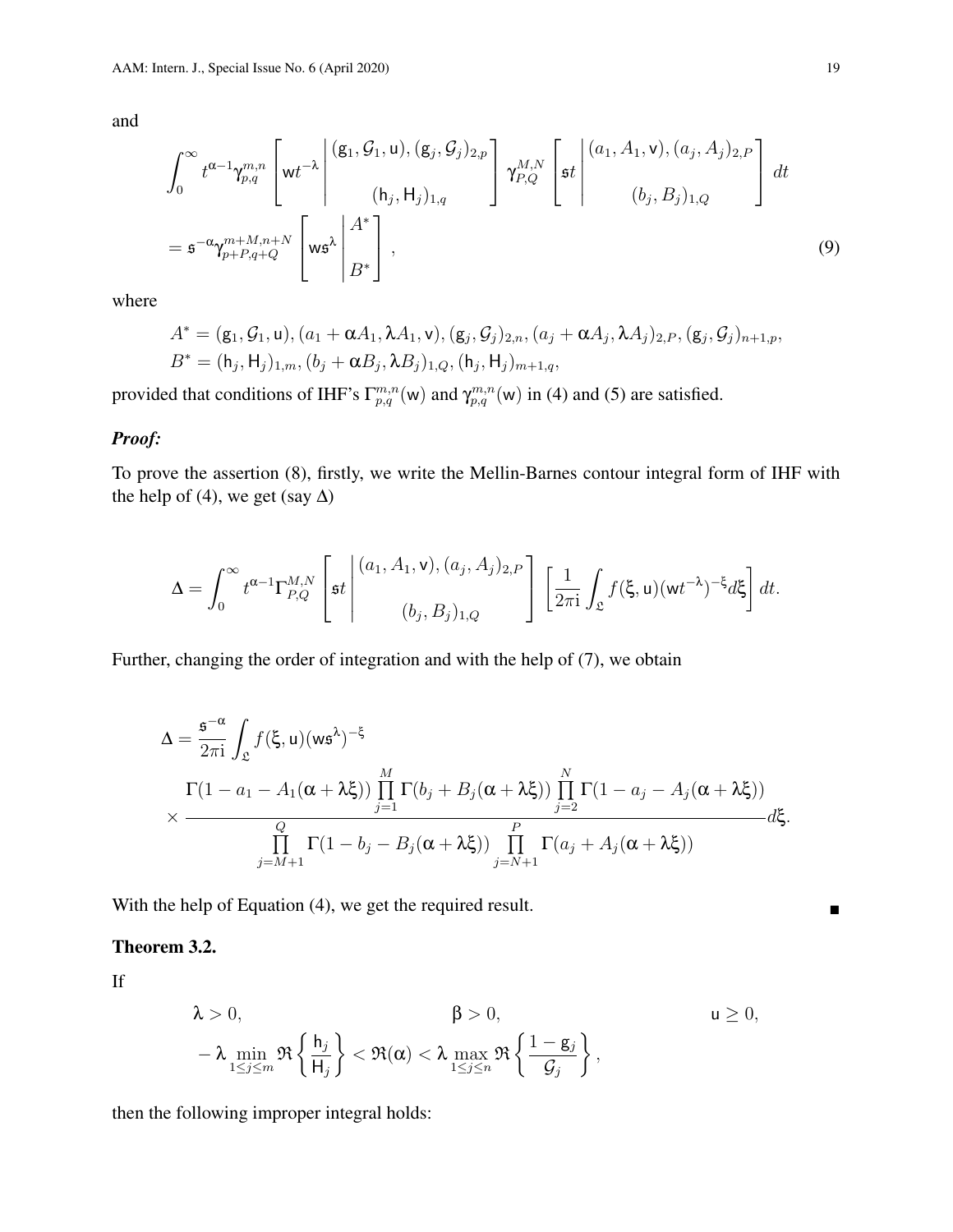$$
\int_0^\infty t^{\alpha-1} \gamma_{p,q}^{m,n} \left[ \mathbf{w} t^{-\lambda} \begin{bmatrix} (\mathbf{g}_1, \mathcal{G}_1, \mathbf{u}), (\mathbf{g}_j, \mathcal{G}_j)_{2,p} \\ (\mathbf{h}_j, \mathbf{H}_j)_{1,q} \end{bmatrix} \gamma_{P,Q}^{M,N} \left[ \mathbf{s} t \begin{bmatrix} (a_1, A_1, \mathbf{v}), (a_j, A_j)_{2,P} \\ (b_j, B_j)_{1,Q} \end{bmatrix} \right] dt
$$
\n
$$
= \mathbf{s}^{-\alpha} \gamma_{p+P,q+Q}^{m+M,n+N} \left[ \mathbf{w} \mathbf{s}^{\lambda} \begin{bmatrix} A^* \\ B^* \end{bmatrix} \right],
$$
\n(9)

where

$$
A^* = (g_1, G_1, u), (a_1 + \alpha A_1, \lambda A_1, v), (g_j, G_j)_{2,n}, (a_j + \alpha A_j, \lambda A_j)_{2,P}, (g_j, G_j)_{n+1,p},
$$
  

$$
B^* = (h_j, H_j)_{1,m}, (b_j + \alpha B_j, \lambda B_j)_{1,Q}, (h_j, H_j)_{m+1,q},
$$

provided that conditions of IHF's  $\Gamma_{p,q}^{m,n}(w)$  and  $\gamma_{p,q}^{m,n}(w)$  in (4) and (5) are satisfied.

### *Proof:*

To prove the assertion (8), firstly, we write the Mellin-Barnes contour integral form of IHF with the help of (4), we get (say  $\Delta$ )

$$
\Delta = \int_0^\infty t^{\alpha-1} \Gamma_{P,Q}^{M,N} \left[ \mathfrak{s}t \middle| \begin{pmatrix} (a_1, A_1, \mathbf{v}), (a_j, A_j)_{2,P} \\ (b_j, B_j)_{1,Q} \end{pmatrix} \left[ \frac{1}{2\pi i} \int_{\mathfrak{L}} f(\xi, \mathbf{u}) (\mathbf{w} t^{-\lambda})^{-\xi} d\xi \right] dt.
$$

Further, changing the order of integration and with the help of (7), we obtain

$$
\Delta = \frac{\mathfrak{s}^{-\alpha}}{2\pi i} \int_{\mathfrak{L}} f(\xi, \mathbf{u}) (\mathbf{w}\mathfrak{s}^{\lambda})^{-\xi}
$$
  

$$
\times \frac{\Gamma(1 - a_1 - A_1(\alpha + \lambda \xi)) \prod_{j=1}^{M} \Gamma(b_j + B_j(\alpha + \lambda \xi)) \prod_{j=2}^{N} \Gamma(1 - a_j - A_j(\alpha + \lambda \xi))}{\prod_{j=M+1}^{Q} \Gamma(1 - b_j - B_j(\alpha + \lambda \xi)) \prod_{j=N+1}^{P} \Gamma(a_j + A_j(\alpha + \lambda \xi))} d\xi.
$$

With the help of Equation (4), we get the required result.

#### Theorem 3.2.

If

$$
\lambda > 0, \qquad \beta > 0, \qquad u \ge 0,
$$
  

$$
-\lambda \min_{1 \le j \le m} \Re \left\{ \frac{h_j}{H_j} \right\} < \Re(\alpha) < \lambda \max_{1 \le j \le n} \Re \left\{ \frac{1 - g_j}{\mathcal{G}_j} \right\},
$$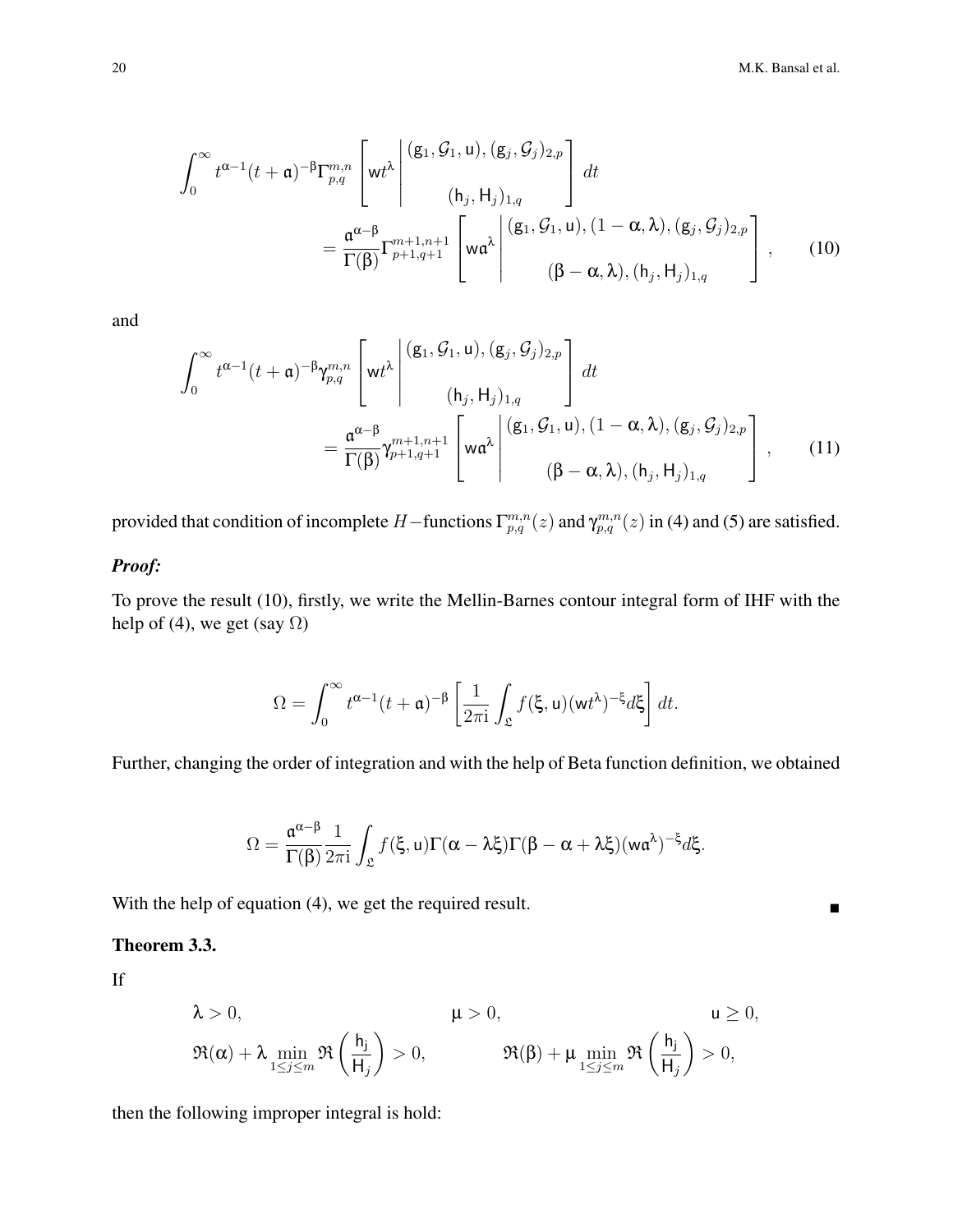$$
\int_0^\infty t^{\alpha-1}(t+a)^{-\beta} \Gamma_{p,q}^{m,n} \left[ wt^\lambda \middle| \begin{array}{l} (g_1, \mathcal{G}_1, u), (g_j, \mathcal{G}_j)_{2,p} \\ (h_j, H_j)_{1,q} \end{array} \right] dt \n= \frac{\mathfrak{a}^{\alpha-\beta}}{\Gamma(\beta)} \Gamma_{p+1,q+1}^{m+1,n+1} \left[ w\mathfrak{a}^\lambda \middle| \begin{array}{l} (g_1, \mathcal{G}_1, u), (1-\alpha, \lambda), (g_j, \mathcal{G}_j)_{2,p} \\ ( \beta - \alpha, \lambda), (h_j, H_j)_{1,q} \end{array} \right], \quad (10)
$$

$$
\int_0^\infty t^{\alpha-1}(t+a)^{-\beta} \gamma_{p,q}^{m,n} \left[ \mathsf{wt}^\lambda \left| \begin{array}{c} (\mathsf{g}_1, \mathcal{G}_1, \mathsf{u}), (\mathsf{g}_j, \mathcal{G}_j)_{2,p} \\ (\mathsf{h}_j, \mathsf{H}_j)_{1,q} \end{array} \right] dt \right. \n= \frac{\mathfrak{a}^{\alpha-\beta}}{\Gamma(\beta)} \gamma_{p+1,q+1}^{m+1,n+1} \left[ \mathsf{w} \mathfrak{a}^\lambda \left| \begin{array}{c} (\mathsf{g}_1, \mathcal{G}_1, \mathsf{u}), (1-\alpha, \lambda), (\mathsf{g}_j, \mathcal{G}_j)_{2,p} \\ (\beta-\alpha, \lambda), (\mathsf{h}_j, \mathsf{H}_j)_{1,q} \end{array} \right] , \qquad (11)
$$

provided that condition of incomplete H – functions  $\Gamma_{p,q}^{m,n}(z)$  and  $\gamma_{p,q}^{m,n}(z)$  in (4) and (5) are satisfied.

#### *Proof:*

To prove the result (10), firstly, we write the Mellin-Barnes contour integral form of IHF with the help of (4), we get (say  $\Omega$ )

$$
\Omega = \int_0^\infty t^{\alpha - 1} (t + \mathfrak{a})^{-\beta} \left[ \frac{1}{2\pi i} \int_{\mathfrak{L}} f(\xi, \mathfrak{u}) (\mathfrak{w} t^{\lambda})^{-\xi} d\xi \right] dt.
$$

Further, changing the order of integration and with the help of Beta function definition, we obtained

$$
\Omega=\frac{\mathfrak{a}^{\alpha-\beta}}{\Gamma(\beta)}\frac{1}{2\pi\mathrm{i}}\int_{\mathfrak{L}}f(\xi,u)\Gamma(\alpha-\lambda\xi)\Gamma(\beta-\alpha+\lambda\xi)(w\mathfrak{a}^{\lambda})^{-\xi}d\xi.
$$

With the help of equation (4), we get the required result.

#### Theorem 3.3.

If

$$
\lambda > 0, \qquad \qquad \mu > 0, \qquad \qquad u \ge 0,
$$
  

$$
\Re(\alpha) + \lambda \min_{1 \le j \le m} \Re\left(\frac{h_j}{H_j}\right) > 0, \qquad \qquad \Re(\beta) + \mu \min_{1 \le j \le m} \Re\left(\frac{h_j}{H_j}\right) > 0,
$$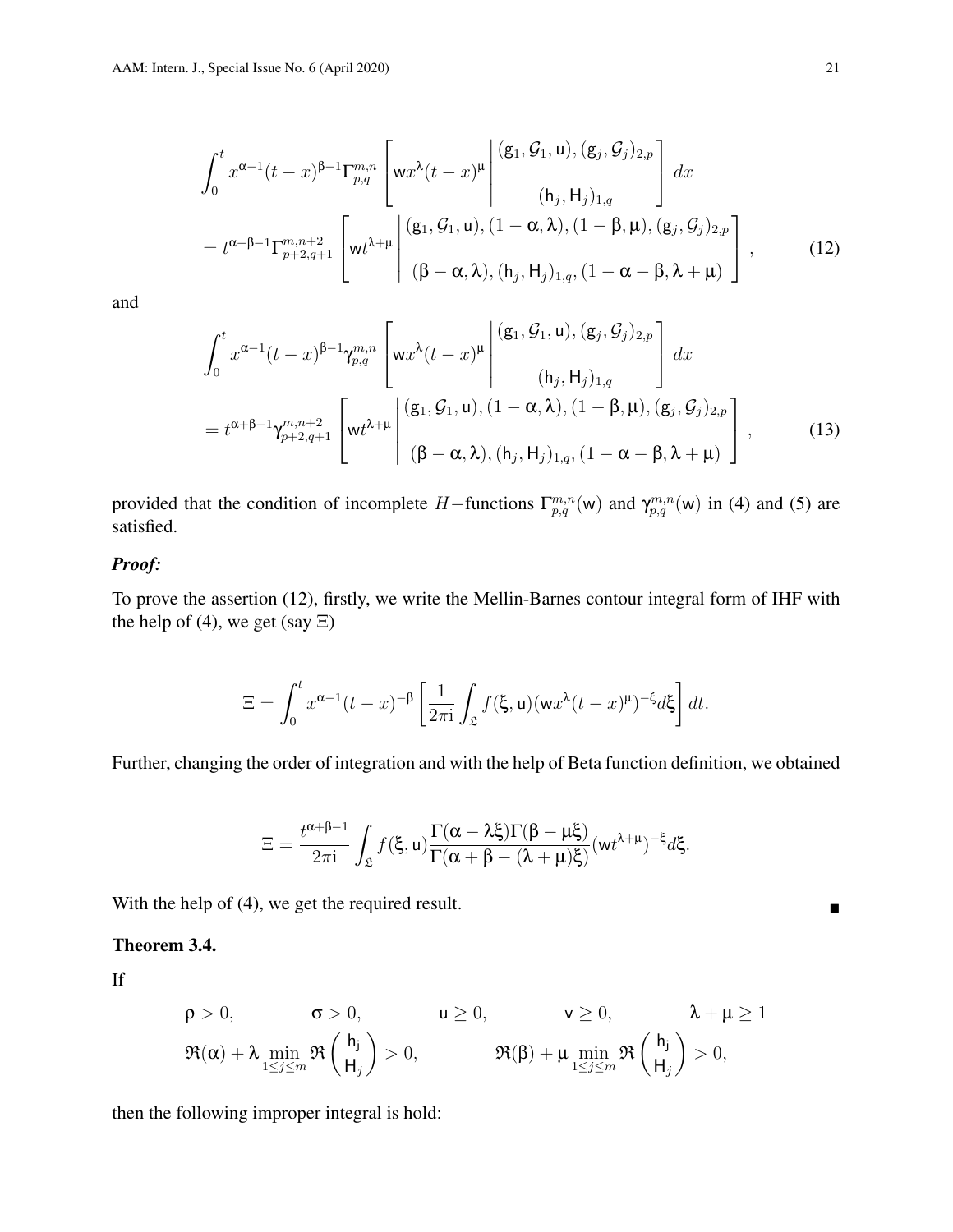$$
\int_0^t x^{\alpha-1} (t-x)^{\beta-1} \Gamma_{p,q}^{m,n} \left[ w x^{\lambda} (t-x)^{\mu} \begin{bmatrix} (\mathsf{g}_1, \mathcal{G}_1, \mathsf{u}), (\mathsf{g}_j, \mathcal{G}_j)_{2,p} \\ (\mathsf{h}_j, \mathsf{H}_j)_{1,q} \end{bmatrix} dx \right]
$$
\n
$$
= t^{\alpha+\beta-1} \Gamma_{p+2,q+1}^{m,n+2} \left[ w t^{\lambda+\mu} \begin{bmatrix} (\mathsf{g}_1, \mathcal{G}_1, \mathsf{u}), (1-\alpha,\lambda), (1-\beta,\mu), (\mathsf{g}_j, \mathcal{G}_j)_{2,p} \\ (\beta-\alpha,\lambda), (\mathsf{h}_j, \mathsf{H}_j)_{1,q}, (1-\alpha-\beta,\lambda+\mu) \end{bmatrix} \right], \quad (12)
$$

$$
\int_0^t x^{\alpha-1} (t-x)^{\beta-1} \gamma_{p,q}^{m,n} \left[ w x^{\lambda} (t-x)^{\mu} \begin{bmatrix} (\mathbf{g}_1, \mathcal{G}_1, \mathbf{u}), (\mathbf{g}_j, \mathcal{G}_j)_{2,p} \\ (\mathbf{h}_j, \mathbf{H}_j)_{1,q} \end{bmatrix} dx \right]
$$
\n
$$
= t^{\alpha+\beta-1} \gamma_{p+2,q+1}^{m,n+2} \left[ w t^{\lambda+\mu} \begin{bmatrix} (\mathbf{g}_1, \mathcal{G}_1, \mathbf{u}), (1-\alpha,\lambda), (1-\beta,\mu), (\mathbf{g}_j, \mathcal{G}_j)_{2,p} \\ (\beta-\alpha,\lambda), (\mathbf{h}_j, \mathbf{H}_j)_{1,q}, (1-\alpha-\beta,\lambda+\mu) \end{bmatrix}, \right], \quad (13)
$$

provided that the condition of incomplete H–functions  $\Gamma_{p,q}^{m,n}(w)$  and  $\gamma_{p,q}^{m,n}(w)$  in (4) and (5) are satisfied.

### *Proof:*

To prove the assertion (12), firstly, we write the Mellin-Barnes contour integral form of IHF with the help of (4), we get (say  $\Xi$ )

$$
\Xi = \int_0^t x^{\alpha - 1} (t - x)^{-\beta} \left[ \frac{1}{2\pi i} \int_{\mathfrak{L}} f(\xi, u) (wx^{\lambda} (t - x)^{\mu})^{-\xi} d\xi \right] dt.
$$

Further, changing the order of integration and with the help of Beta function definition, we obtained

$$
\Xi = \frac{t^{\alpha+\beta-1}}{2\pi i} \int_{\mathfrak{L}} f(\xi, u) \frac{\Gamma(\alpha-\lambda\xi)\Gamma(\beta-\mu\xi)}{\Gamma(\alpha+\beta-(\lambda+\mu)\xi)} (wt^{\lambda+\mu})^{-\xi} d\xi.
$$

With the help of (4), we get the required result.

#### Theorem 3.4.

If

$$
\begin{aligned}\n\rho &> 0, & \sigma &> 0, & \mu &\geq 0, & \lambda + \mu &\geq 1 \\
\Re(\alpha) + \lambda \min_{1 \leq j \leq m} \Re\left(\frac{h_j}{H_j}\right) &> 0, & \Re(\beta) + \mu \min_{1 \leq j \leq m} \Re\left(\frac{h_j}{H_j}\right) &> 0,\n\end{aligned}
$$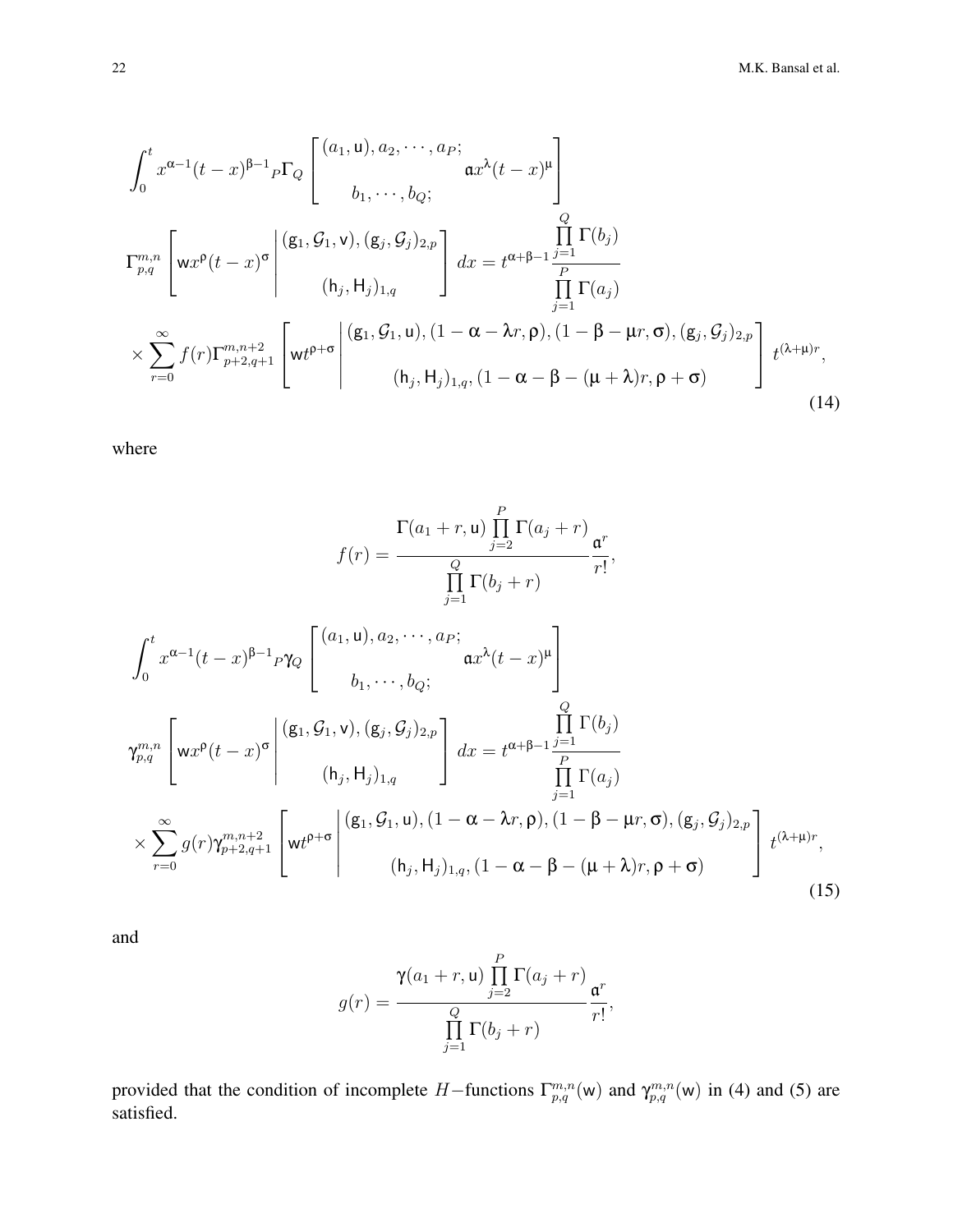$$
\int_{0}^{t} x^{\alpha-1}(t-x)^{\beta-1} P Q \begin{bmatrix} (a_1, u), a_2, \cdots, a_P; \\ b_1, \cdots, b_Q; \end{bmatrix}
$$
  
\n
$$
\Gamma_{p,q}^{m,n} \begin{bmatrix} w x^{\rho}(t-x)^{\sigma} \end{bmatrix} \begin{bmatrix} (g_1, g_1, v), (g_j, g_j)_{2,p} \\ (h_j, H_j)_{1,q} \end{bmatrix} dx = t^{\alpha+\beta-1} \frac{\prod_{j=1}^{Q} \Gamma(b_j)}{\prod_{j=1}^{P} \Gamma(a_j)}
$$
  
\n
$$
\times \sum_{r=0}^{\infty} f(r) \Gamma_{p+2,q+1}^{m,n+2} \begin{bmatrix} (g_1, g_1, u), (1 - \alpha - \lambda r, \rho), (1 - \beta - \mu r, \sigma), (g_j, g_j)_{2,p} \\ (h_j, H_j)_{1,q}, (1 - \alpha - \beta - (\mu + \lambda) r, \rho + \sigma) \end{bmatrix} t^{(\lambda+\mu)r},
$$
\n(14)

where

$$
f(r) = \frac{\Gamma(a_1 + r, u) \prod_{j=2}^{P} \Gamma(a_j + r)}{\prod_{j=1}^{Q} \Gamma(b_j + r)},
$$
  

$$
\int_{0}^{t} x^{\alpha-1} (t-x)^{\beta-1} \rho \gamma_Q \begin{bmatrix} (a_1, u), a_2, \cdots, a_P; & \mathbf{a}^2(t-x)^{\mu} \\ b_1, \cdots, b_Q; & \mathbf{a}^2(t-x)^{\mu} \end{bmatrix}
$$
  

$$
\gamma_{p,q}^{m,n} \left[ w x^{\rho} (t-x)^{\sigma} \middle| \begin{array}{c} (\mathbf{g}_1, \mathcal{G}_1, \mathbf{v}), (\mathbf{g}_j, \mathcal{G}_j)_{2, p} \\ (h_j, H_j)_{1, q} \end{array} \right] dx = t^{\alpha + \beta - 1} \frac{\prod_{j=1}^{Q} \Gamma(b_j)}{\prod_{j=1}^{P} \Gamma(a_j)}
$$
  

$$
\times \sum_{r=0}^{\infty} g(r) \gamma_{p+2, q+1}^{m,n+2} \left[ w t^{\rho+\sigma} \middle| \begin{array}{c} (\mathbf{g}_1, \mathcal{G}_1, u), (1 - \alpha - \lambda r, \rho), (1 - \beta - \mu r, \sigma), (\mathbf{g}_j, \mathcal{G}_j)_{2, p} \\ (h_j, H_j)_{1, q}, (1 - \alpha - \beta - (\mu + \lambda) r, \rho + \sigma) \end{array} \right] t^{(\lambda + \mu)r}, \tag{15}
$$

and

$$
g(r) = \frac{\gamma(a_1+r, u) \prod_{j=2}^{P} \Gamma(a_j+r)}{\prod_{j=1}^{Q} \Gamma(b_j+r)} \frac{\mathfrak{a}^r}{r!},
$$

provided that the condition of incomplete H–functions  $\Gamma_{p,q}^{m,n}(w)$  and  $\gamma_{p,q}^{m,n}(w)$  in (4) and (5) are satisfied.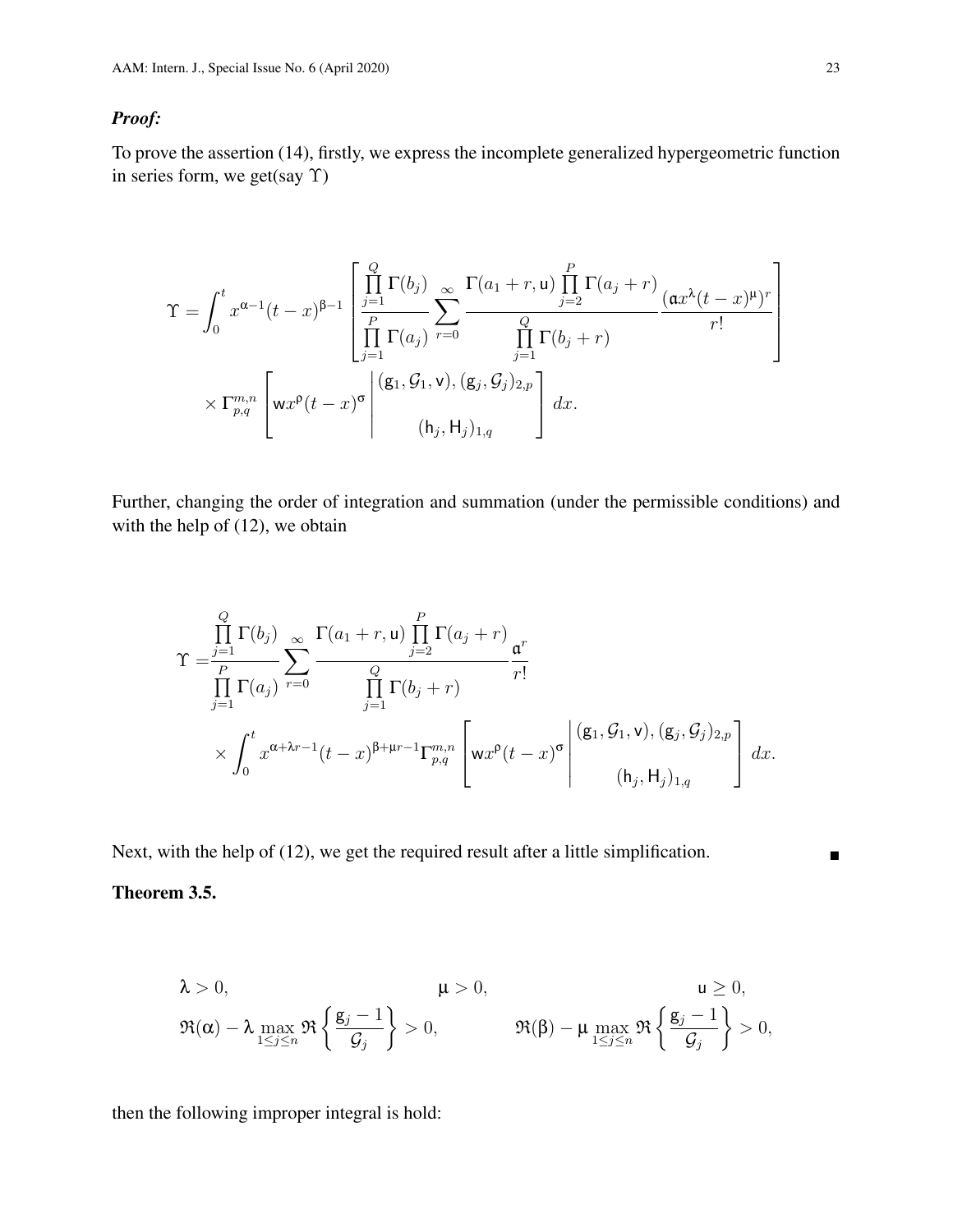### *Proof:*

To prove the assertion (14), firstly, we express the incomplete generalized hypergeometric function in series form, we get(say Υ)

$$
\Upsilon = \int_0^t x^{\alpha-1} (t-x)^{\beta-1} \left[ \frac{\prod_{j=1}^Q \Gamma(b_j)}{\prod_{j=1}^P \Gamma(a_j)} \sum_{r=0}^\infty \frac{\Gamma(a_1+r, \mathsf{u}) \prod_{j=2}^P \Gamma(a_j+r)}{\prod_{j=1}^Q \Gamma(b_j+r)} \frac{(\mathfrak{a} x^\lambda (t-x)^\mu)^r}{r!} \right] \times \Gamma_{p,q}^{m,n} \left[ \mathsf{w} x^\mathsf{p} (t-x)^\sigma \middle| \begin{array}{c} (\mathsf{g}_1, \mathcal{G}_1, \mathsf{v}), (\mathsf{g}_j, \mathcal{G}_j)_{2,p} \\ (\mathsf{h}_j, \mathsf{H}_j)_{1,q} \end{array} \right] dx.
$$

Further, changing the order of integration and summation (under the permissible conditions) and with the help of  $(12)$ , we obtain

$$
\Upsilon = \frac{\prod_{j=1}^{Q} \Gamma(b_j)}{\prod_{j=1}^{P} \Gamma(a_j)} \sum_{r=0}^{\infty} \frac{\Gamma(a_1+r, \mathsf{u}) \prod_{j=2}^{P} \Gamma(a_j+r)}{\prod_{j=1}^{Q} \Gamma(b_j+r)} \frac{\mathsf{u}^r}{r!} \times \int_0^t x^{\alpha+\lambda r-1} (t-x)^{\beta+\mu r-1} \Gamma_{p,q}^{m,n} \left[ \mathsf{w} x^{\rho} (t-x)^{\sigma} \middle| \begin{array}{l} (\mathsf{g}_1, \mathcal{G}_1, \mathsf{v}), (\mathsf{g}_j, \mathcal{G}_j)_{2,p} \\ (\mathsf{h}_j, \mathsf{H}_j)_{1,q} \end{array} \right] dx.
$$

Next, with the help of (12), we get the required result after a little simplification.

### Theorem 3.5.

$$
\lambda > 0, \qquad \mu > 0, \qquad u \ge 0,
$$
  

$$
\Re(\alpha) - \lambda \max_{1 \le j \le n} \Re\left\{\frac{g_j - 1}{\mathcal{G}_j}\right\} > 0, \qquad \Re(\beta) - \mu \max_{1 \le j \le n} \Re\left\{\frac{g_j - 1}{\mathcal{G}_j}\right\} > 0,
$$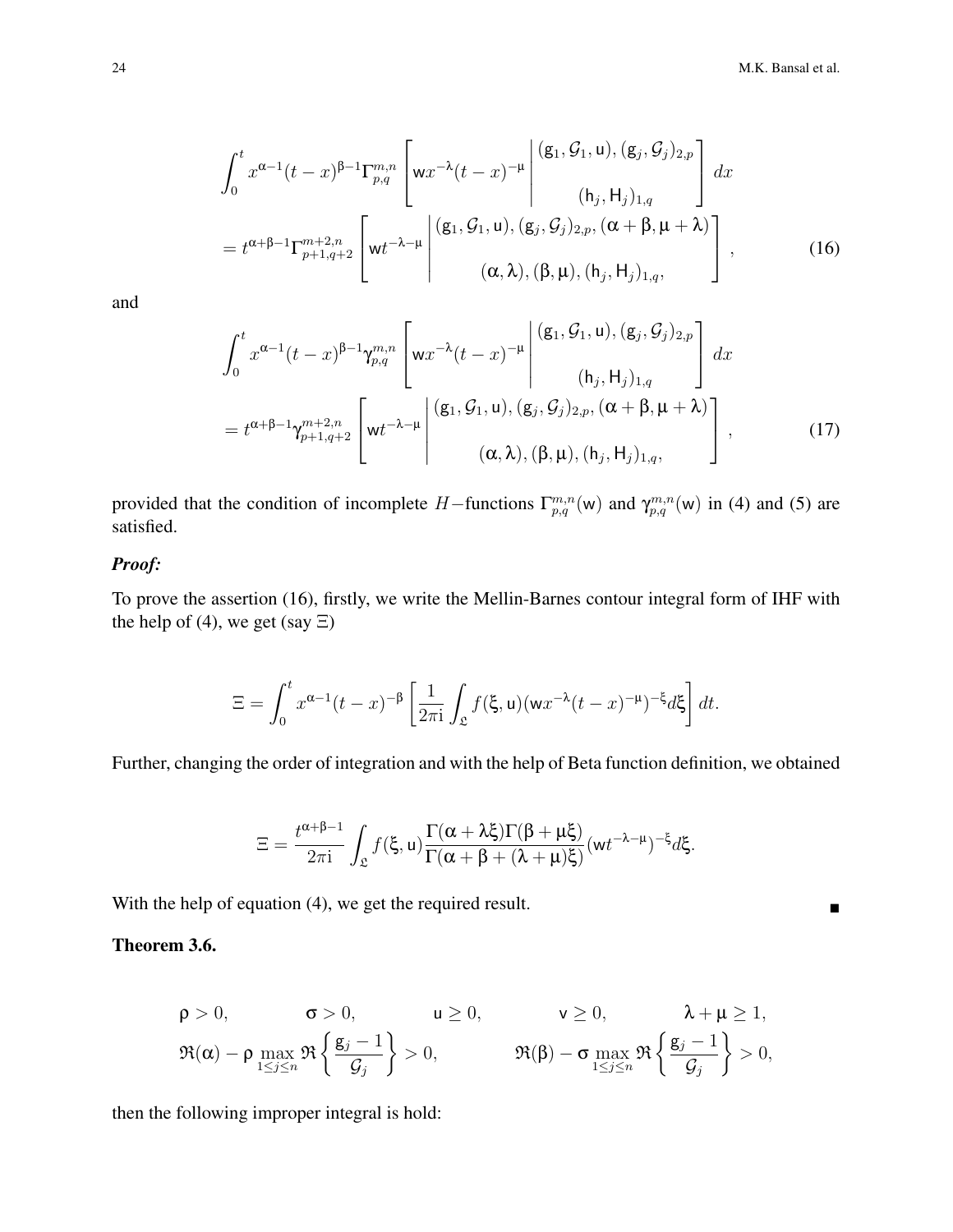$$
\int_{0}^{t} x^{\alpha-1}(t-x)^{\beta-1} \Gamma_{p,q}^{m,n} \left[ w x^{-\lambda} (t-x)^{-\mu} \left| \begin{array}{c} (g_1, \mathcal{G}_1, u), (g_j, \mathcal{G}_j)_{2,p} \\ (h_j, H_j)_{1,q} \end{array} \right| dx \right]
$$
  
=  $t^{\alpha+\beta-1} \Gamma_{p+1,q+2}^{m+2,n} \left[ w t^{-\lambda-\mu} \left| \begin{array}{c} (g_1, \mathcal{G}_1, u), (g_j, \mathcal{G}_j)_{2,p}, (\alpha+\beta, \mu+\lambda) \\ (g_j, \mathcal{G}_j)_{2,p}, (\alpha+\beta, \mu+\lambda) \\ (a, \lambda), (\beta, \mu), (h_j, H_j)_{1,q}, \end{array} \right] ,$  (16)

$$
\int_{0}^{t} x^{\alpha-1} (t-x)^{\beta-1} \gamma_{p,q}^{m,n} \left[ w x^{-\lambda} (t-x)^{-\mu} \left| \begin{array}{c} (\mathbf{g}_{1}, \mathcal{G}_{1}, \mathbf{u}), (\mathbf{g}_{j}, \mathcal{G}_{j})_{2,p} \\ (\mathbf{h}_{j}, \mathbf{H}_{j})_{1,q} \end{array} \right| dx \right]
$$

$$
= t^{\alpha+\beta-1} \gamma_{p+1,q+2}^{m+2,n} \left[ w t^{-\lambda-\mu} \left| \begin{array}{c} (\mathbf{g}_{1}, \mathcal{G}_{1}, \mathbf{u}), (\mathbf{g}_{j}, \mathcal{G}_{j})_{2,p}, (\alpha+\beta, \mu+\lambda) \\ (\alpha, \lambda), (\beta, \mu), (\mathbf{h}_{j}, \mathbf{H}_{j})_{1,q}, \end{array} \right] , \tag{17}
$$

provided that the condition of incomplete H–functions  $\Gamma_{p,q}^{m,n}(w)$  and  $\gamma_{p,q}^{m,n}(w)$  in (4) and (5) are satisfied.

### *Proof:*

To prove the assertion (16), firstly, we write the Mellin-Barnes contour integral form of IHF with the help of (4), we get (say  $\Xi$ )

$$
\Xi = \int_0^t x^{\alpha-1} (t-x)^{-\beta} \left[ \frac{1}{2\pi i} \int_{\mathfrak{L}} f(\xi, u) (wx^{-\lambda} (t-x)^{-\mu})^{-\xi} d\xi \right] dt.
$$

Further, changing the order of integration and with the help of Beta function definition, we obtained

$$
\Xi=\frac{t^{\alpha+\beta-1}}{2\pi\mathrm{i}}\int_{\mathfrak{L}}f(\xi,u)\frac{\Gamma(\alpha+\lambda\xi)\Gamma(\beta+\mu\xi)}{\Gamma(\alpha+\beta+(\lambda+\mu)\xi)}(wt^{-\lambda-\mu})^{-\xi}d\xi.
$$

With the help of equation (4), we get the required result.

### Theorem 3.6.

$$
\rho > 0, \qquad \sigma > 0, \qquad u \ge 0, \qquad v \ge 0, \qquad \lambda + \mu \ge 1,
$$
  

$$
\Re(\alpha) - \rho \max_{1 \le j \le n} \Re\left\{\frac{g_j - 1}{\mathcal{G}_j}\right\} > 0, \qquad \Re(\beta) - \sigma \max_{1 \le j \le n} \Re\left\{\frac{g_j - 1}{\mathcal{G}_j}\right\} > 0,
$$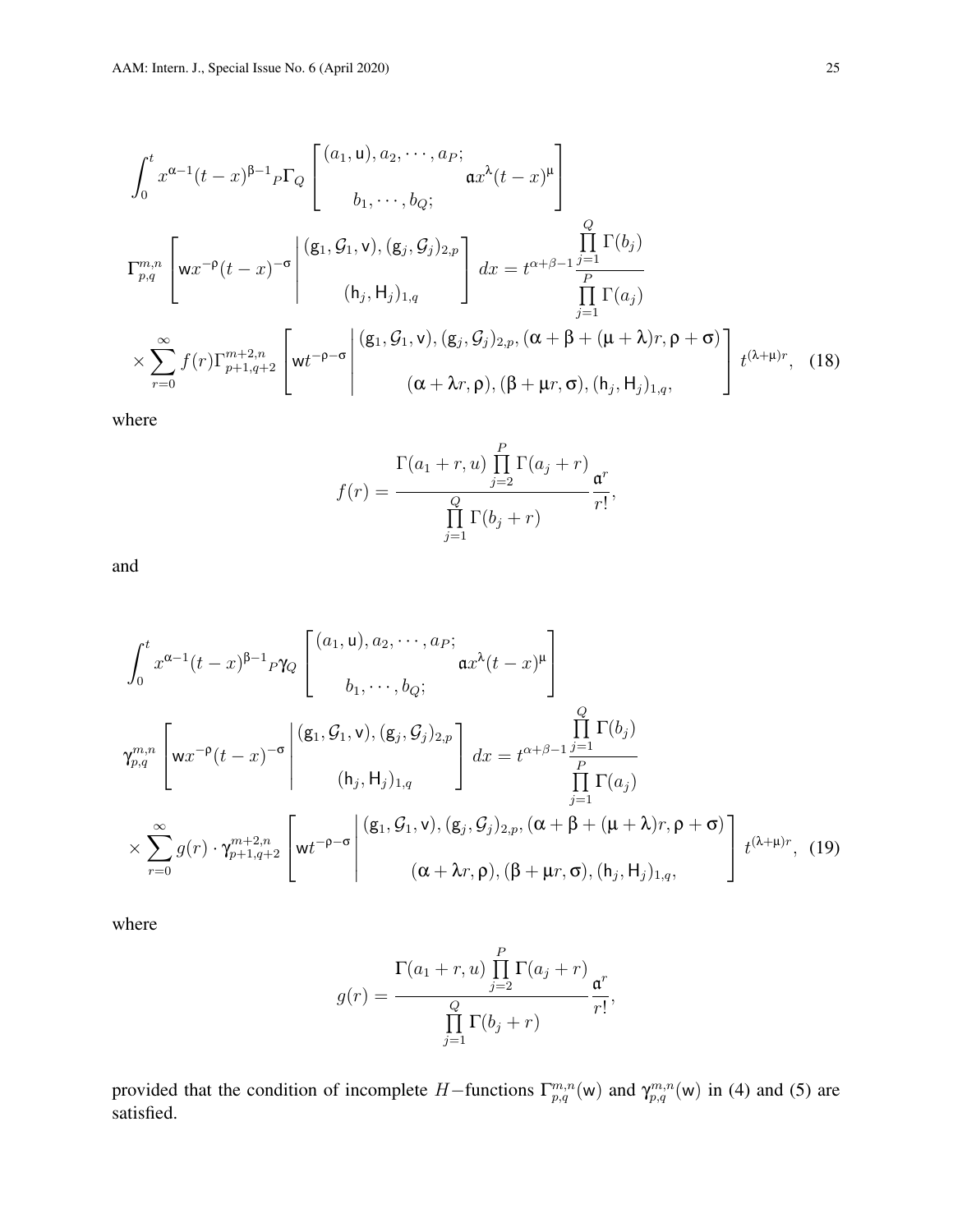$$
\int_{0}^{t} x^{\alpha-1}(t-x)^{\beta-1} P\Gamma_{Q} \begin{bmatrix} (a_{1}, u), a_{2}, \cdots, a_{P}; \\ b_{1}, \cdots, b_{Q}; \end{bmatrix}
$$

$$
\Gamma_{p,q}^{m,n} \begin{bmatrix} wx^{-\rho}(t-x)^{-\sigma} \Big|^{(\mathbf{g}_{1}, \mathcal{G}_{1}, \mathbf{v}), (\mathbf{g}_{j}, \mathcal{G}_{j})_{2,p}} (b_{1}, b_{1})_{1,q} \end{bmatrix} dx = t^{\alpha+\beta-1} \frac{\prod_{j=1}^{Q} \Gamma(b_{j})}{\prod_{j=1}^{P} \Gamma(a_{j})}
$$

$$
\times \sum_{r=0}^{\infty} f(r) \Gamma_{p+1,q+2}^{m+2,n} \begin{bmatrix} w t^{-\rho-\sigma} \Big|^{(\mathbf{g}_{1}, \mathcal{G}_{1}, \mathbf{v}), (\mathbf{g}_{j}, \mathcal{G}_{j})_{2,p}, (\alpha+\beta+(\mu+\lambda)r, \rho+\sigma) \\ (\alpha+\lambda r, \rho), (\beta+\mu r, \sigma), (b_{j}, b_{j})_{1,q}, \end{bmatrix} t^{(\lambda+\mu)r}, (18)
$$

where

$$
f(r) = \frac{\Gamma(a_1+r, u) \prod_{j=2}^{P} \Gamma(a_j+r)}{\prod_{j=1}^{Q} \Gamma(b_j+r)} \frac{\mathfrak{a}^r}{r!},
$$

and

$$
\int_{0}^{t} x^{\alpha-1}(t-x)^{\beta-1} \rho \gamma_{Q} \begin{bmatrix} (a_{1}, u), a_{2}, \cdots, a_{P}; \\ a_{1}, \cdots, b_{Q}; \end{bmatrix}
$$

$$
\gamma_{p,q}^{m,n} \begin{bmatrix} wx^{-\rho}(t-x)^{-\sigma} \begin{bmatrix} (\mathbf{g}_{1}, \mathcal{G}_{1}, \mathbf{v}), (\mathbf{g}_{j}, \mathcal{G}_{j})_{2,p} \\ (b_{j}, \mathbf{H}_{j})_{1,q} \end{bmatrix} dx = t^{\alpha+\beta-1} \frac{\prod_{j=1}^{Q} \Gamma(b_{j})}{\prod_{j=1}^{P} \Gamma(a_{j})}
$$

$$
\times \sum_{r=0}^{\infty} g(r) \cdot \gamma_{p+1,q+2}^{m+2,n} \begin{bmatrix} wt^{-\rho-\sigma} \end{bmatrix} \begin{bmatrix} (\mathbf{g}_{1}, \mathcal{G}_{1}, \mathbf{v}), (\mathbf{g}_{j}, \mathcal{G}_{j})_{2,p}, (\alpha+\beta+(\mu+\lambda)r, \rho+\sigma) \\ (\alpha+\lambda r, \rho), (\beta+\mu r, \sigma), (h_{j}, \mathbf{H}_{j})_{1,q}, \end{bmatrix} t^{(\lambda+\mu)r}, (19)
$$

where

$$
g(r) = \frac{\Gamma(a_1+r, u) \prod_{j=2}^{P} \Gamma(a_j+r)}{\prod_{j=1}^{Q} \Gamma(b_j+r)} \frac{\mathfrak{a}^r}{r!},
$$

provided that the condition of incomplete H–functions  $\Gamma_{p,q}^{m,n}(w)$  and  $\gamma_{p,q}^{m,n}(w)$  in (4) and (5) are satisfied.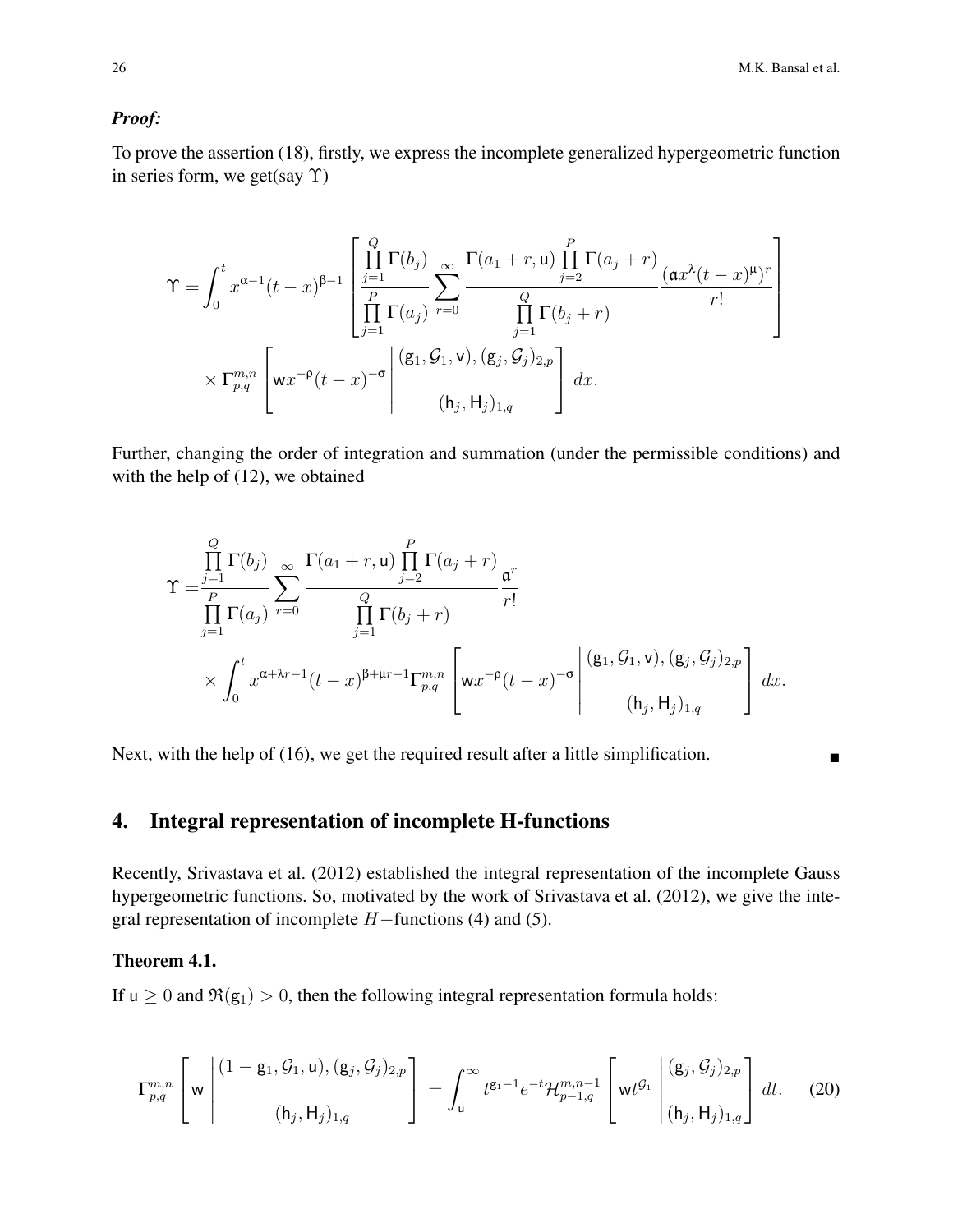#### *Proof:*

To prove the assertion (18), firstly, we express the incomplete generalized hypergeometric function in series form, we get(say  $\Upsilon$ )

$$
\Upsilon = \int_0^t x^{\alpha-1} (t-x)^{\beta-1} \left[ \frac{\prod_{j=1}^Q \Gamma(b_j)}{\prod_{j=1}^P \Gamma(a_j)} \sum_{r=0}^\infty \frac{\Gamma(a_1+r, \mathbf{u}) \prod_{j=2}^P \Gamma(a_j+r)}{\prod_{j=1}^Q \Gamma(b_j+r)} \frac{(\mathfrak{a} x^{\lambda} (t-x)^{\mu})^r}{r!} \right] \times \Gamma_{p,q}^{m,n} \left[ \mathbf{w} x^{-\rho} (t-x)^{-\sigma} \middle| \begin{array}{c} (\mathbf{g}_1, \mathcal{G}_1, \mathbf{v}), (\mathbf{g}_j, \mathcal{G}_j)_{2,p} \\ (\mathbf{h}_j, \mathbf{H}_j)_{1,q} \end{array} \right] dx.
$$

Further, changing the order of integration and summation (under the permissible conditions) and with the help of (12), we obtained

$$
\Upsilon = \frac{\prod_{j=1}^{Q} \Gamma(b_j)}{\prod_{j=1}^{P} \Gamma(a_j)} \sum_{r=0}^{\infty} \frac{\Gamma(a_1+r, \mathbf{u}) \prod_{j=2}^{P} \Gamma(a_j+r)}{\prod_{j=1}^{Q} \Gamma(b_j+r)} \frac{\mathfrak{a}^r}{r!} \times \int_0^t x^{\alpha+\lambda r-1} (t-x)^{\beta+\mu r-1} \Gamma_{p,q}^{m,n} \left[ \mathbf{w} x^{-\rho} (t-x)^{-\sigma} \middle| \begin{array}{c} (\mathbf{g}_1, \mathcal{G}_1, \mathbf{v}), (\mathbf{g}_j, \mathcal{G}_j)_{2,p} \\ (\mathbf{h}_j, \mathbf{H}_j)_{1,q} \end{array} \right] dx.
$$

Next, with the help of (16), we get the required result after a little simplification.

### 4. Integral representation of incomplete H-functions

Recently, Srivastava et al. (2012) established the integral representation of the incomplete Gauss hypergeometric functions. So, motivated by the work of Srivastava et al. (2012), we give the integral representation of incomplete  $H$  –functions (4) and (5).

### Theorem 4.1.

If  $u > 0$  and  $\Re(g_1) > 0$ , then the following integral representation formula holds:

$$
\Gamma_{p,q}^{m,n} \left[ w \left| \begin{array}{c} (1 - g_1, \mathcal{G}_1, u), (g_j, \mathcal{G}_j)_{2,p} \\ (h_j, H_j)_{1,q} \end{array} \right| = \int_u^\infty t^{g_1 - 1} e^{-t} \mathcal{H}_{p-1,q}^{m,n-1} \left[ w t^{\mathcal{G}_1} \left| \begin{array}{c} (g_j, \mathcal{G}_j)_{2,p} \\ (h_j, H_j)_{1,q} \end{array} \right| dt. \tag{20}
$$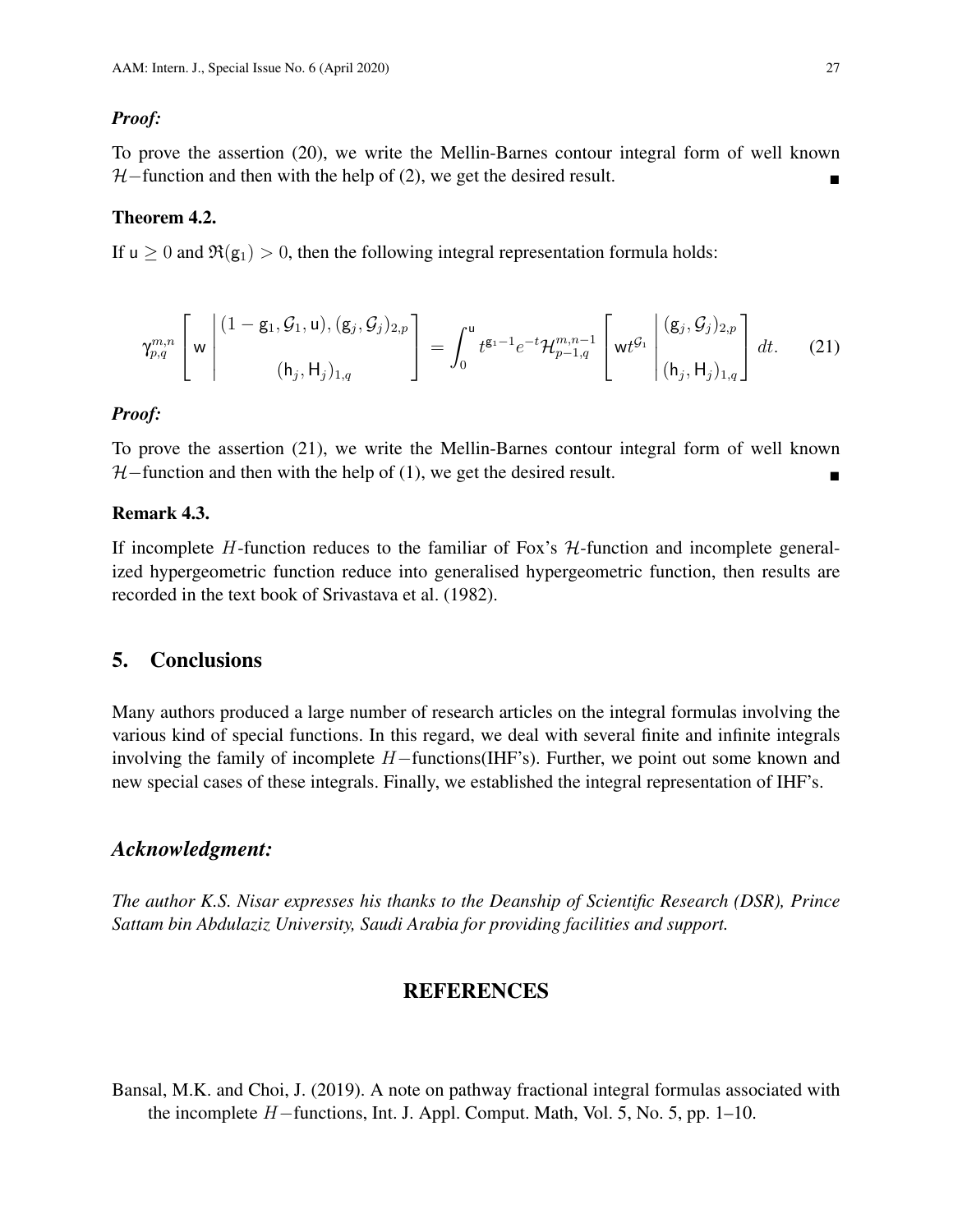#### *Proof:*

To prove the assertion (20), we write the Mellin-Barnes contour integral form of well known  $H$ –function and then with the help of (2), we get the desired result.

#### Theorem 4.2.

If  $u \ge 0$  and  $\Re(g_1) > 0$ , then the following integral representation formula holds:

$$
\gamma_{p,q}^{m,n} \left[ w \left| \begin{array}{c} (1 - g_1, \mathcal{G}_1, u), (g_j, \mathcal{G}_j)_{2,p} \\ (h_j, H_j)_{1,q} \end{array} \right| = \int_0^u t^{g_1 - 1} e^{-t} \mathcal{H}_{p-1,q}^{m,n-1} \left[ w t^{\mathcal{G}_1} \left| \begin{array}{c} (g_j, \mathcal{G}_j)_{2,p} \\ (h_j, H_j)_{1,q} \end{array} \right| dt. \tag{21}
$$

#### *Proof:*

To prove the assertion (21), we write the Mellin-Barnes contour integral form of well known  $H$ –function and then with the help of (1), we get the desired result.

#### Remark 4.3.

If incomplete  $H$ -function reduces to the familiar of Fox's  $H$ -function and incomplete generalized hypergeometric function reduce into generalised hypergeometric function, then results are recorded in the text book of Srivastava et al. (1982).

### 5. Conclusions

Many authors produced a large number of research articles on the integral formulas involving the various kind of special functions. In this regard, we deal with several finite and infinite integrals involving the family of incomplete H−functions(IHF's). Further, we point out some known and new special cases of these integrals. Finally, we established the integral representation of IHF's.

### *Acknowledgment:*

*The author K.S. Nisar expresses his thanks to the Deanship of Scientific Research (DSR), Prince Sattam bin Abdulaziz University, Saudi Arabia for providing facilities and support.*

### REFERENCES

Bansal, M.K. and Choi, J. (2019). A note on pathway fractional integral formulas associated with the incomplete H−functions, Int. J. Appl. Comput. Math, Vol. 5, No. 5, pp. 1–10.